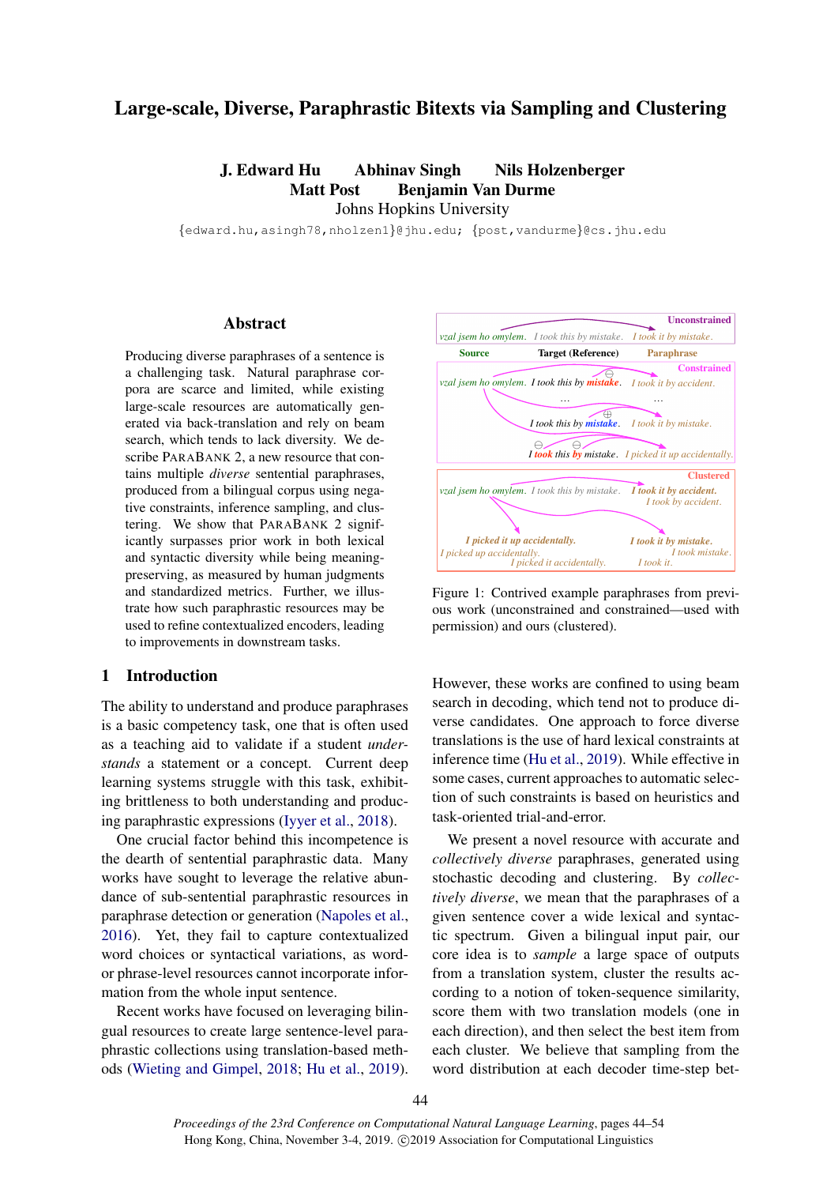# Large-scale, Diverse, Paraphrastic Bitexts via Sampling and Clustering

J. Edward Hu Abhinav Singh Nils Holzenberger Matt Post Benjamin Van Durme Johns Hopkins University

{edward.hu,asingh78,nholzen1}@jhu.edu; {post,vandurme}@cs.jhu.edu

# Abstract

Producing diverse paraphrases of a sentence is a challenging task. Natural paraphrase corpora are scarce and limited, while existing large-scale resources are automatically generated via back-translation and rely on beam search, which tends to lack diversity. We describe PARABANK 2, a new resource that contains multiple *diverse* sentential paraphrases, produced from a bilingual corpus using negative constraints, inference sampling, and clustering. We show that PARABANK 2 significantly surpasses prior work in both lexical and syntactic diversity while being meaningpreserving, as measured by human judgments and standardized metrics. Further, we illustrate how such paraphrastic resources may be used to refine contextualized encoders, leading to improvements in downstream tasks.

# 1 Introduction

The ability to understand and produce paraphrases is a basic competency task, one that is often used as a teaching aid to validate if a student *understands* a statement or a concept. Current deep learning systems struggle with this task, exhibiting brittleness to both understanding and producing paraphrastic expressions [\(Iyyer et al.,](#page-9-0) [2018\)](#page-9-0).

One crucial factor behind this incompetence is the dearth of sentential paraphrastic data. Many works have sought to leverage the relative abundance of sub-sentential paraphrastic resources in paraphrase detection or generation [\(Napoles et al.,](#page-9-1) [2016\)](#page-9-1). Yet, they fail to capture contextualized word choices or syntactical variations, as wordor phrase-level resources cannot incorporate information from the whole input sentence.

Recent works have focused on leveraging bilingual resources to create large sentence-level paraphrastic collections using translation-based methods [\(Wieting and Gimpel,](#page-10-0) [2018;](#page-10-0) [Hu et al.,](#page-9-2) [2019\)](#page-9-2).



Figure 1: Contrived example paraphrases from previous work (unconstrained and constrained—used with permission) and ours (clustered).

However, these works are confined to using beam search in decoding, which tend not to produce diverse candidates. One approach to force diverse translations is the use of hard lexical constraints at inference time [\(Hu et al.,](#page-9-2) [2019\)](#page-9-2). While effective in some cases, current approaches to automatic selection of such constraints is based on heuristics and task-oriented trial-and-error.

We present a novel resource with accurate and *collectively diverse* paraphrases, generated using stochastic decoding and clustering. By *collectively diverse*, we mean that the paraphrases of a given sentence cover a wide lexical and syntactic spectrum. Given a bilingual input pair, our core idea is to *sample* a large space of outputs from a translation system, cluster the results according to a notion of token-sequence similarity, score them with two translation models (one in each direction), and then select the best item from each cluster. We believe that sampling from the word distribution at each decoder time-step bet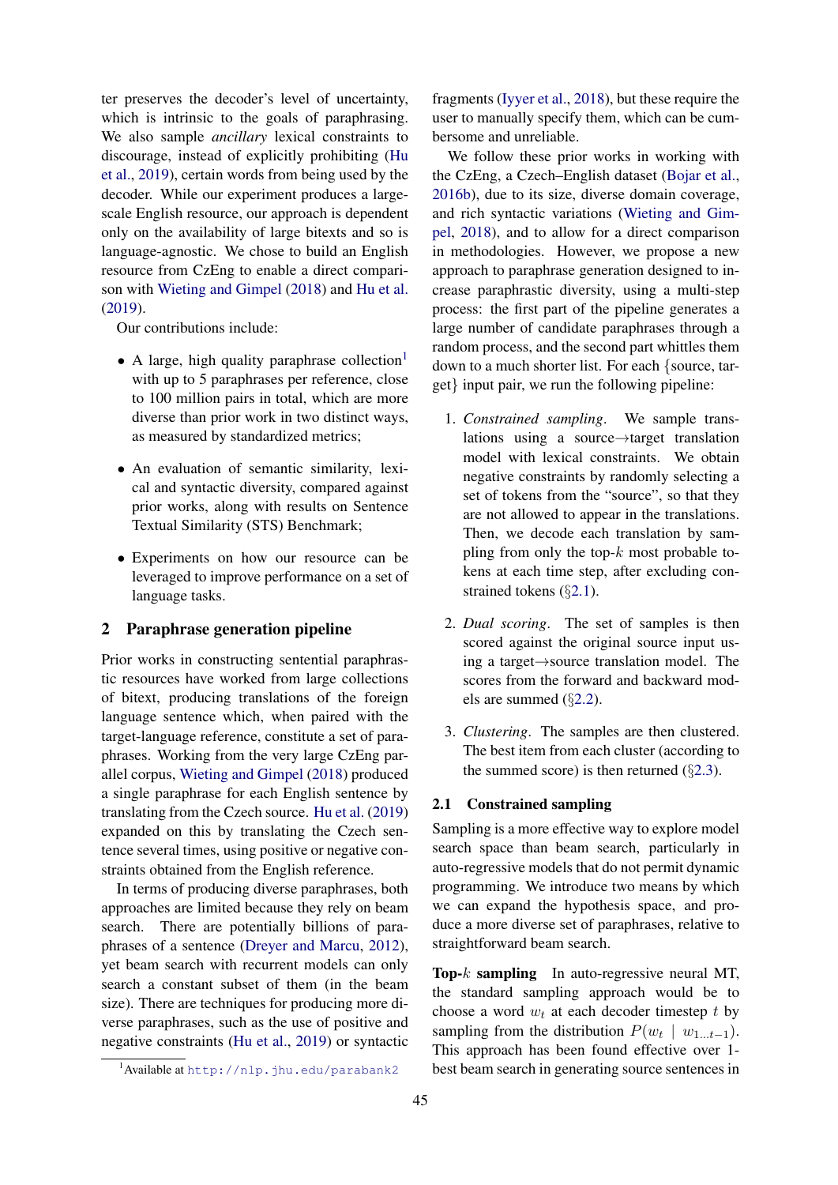ter preserves the decoder's level of uncertainty, which is intrinsic to the goals of paraphrasing. We also sample *ancillary* lexical constraints to discourage, instead of explicitly prohibiting [\(Hu](#page-9-2) [et al.,](#page-9-2) [2019\)](#page-9-2), certain words from being used by the decoder. While our experiment produces a largescale English resource, our approach is dependent only on the availability of large bitexts and so is language-agnostic. We chose to build an English resource from CzEng to enable a direct comparison with [Wieting and Gimpel](#page-10-0) [\(2018\)](#page-10-0) and [Hu et al.](#page-9-2) [\(2019\)](#page-9-2).

Our contributions include:

- A large, high quality paraphrase collection $<sup>1</sup>$  $<sup>1</sup>$  $<sup>1</sup>$ </sup> with up to 5 paraphrases per reference, close to 100 million pairs in total, which are more diverse than prior work in two distinct ways, as measured by standardized metrics;
- An evaluation of semantic similarity, lexical and syntactic diversity, compared against prior works, along with results on Sentence Textual Similarity (STS) Benchmark;
- Experiments on how our resource can be leveraged to improve performance on a set of language tasks.

# 2 Paraphrase generation pipeline

Prior works in constructing sentential paraphrastic resources have worked from large collections of bitext, producing translations of the foreign language sentence which, when paired with the target-language reference, constitute a set of paraphrases. Working from the very large CzEng parallel corpus, [Wieting and Gimpel](#page-10-0) [\(2018\)](#page-10-0) produced a single paraphrase for each English sentence by translating from the Czech source. [Hu et al.](#page-9-2) [\(2019\)](#page-9-2) expanded on this by translating the Czech sentence several times, using positive or negative constraints obtained from the English reference.

In terms of producing diverse paraphrases, both approaches are limited because they rely on beam search. There are potentially billions of paraphrases of a sentence [\(Dreyer and Marcu,](#page-8-0) [2012\)](#page-8-0), yet beam search with recurrent models can only search a constant subset of them (in the beam size). There are techniques for producing more diverse paraphrases, such as the use of positive and negative constraints [\(Hu et al.,](#page-9-2) [2019\)](#page-9-2) or syntactic

fragments [\(Iyyer et al.,](#page-9-0) [2018\)](#page-9-0), but these require the user to manually specify them, which can be cumbersome and unreliable.

We follow these prior works in working with the CzEng, a Czech–English dataset [\(Bojar et al.,](#page-8-1) [2016b\)](#page-8-1), due to its size, diverse domain coverage, and rich syntactic variations [\(Wieting and Gim](#page-10-0)[pel,](#page-10-0) [2018\)](#page-10-0), and to allow for a direct comparison in methodologies. However, we propose a new approach to paraphrase generation designed to increase paraphrastic diversity, using a multi-step process: the first part of the pipeline generates a large number of candidate paraphrases through a random process, and the second part whittles them down to a much shorter list. For each {source, target} input pair, we run the following pipeline:

- 1. *Constrained sampling*. We sample translations using a source→target translation model with lexical constraints. We obtain negative constraints by randomly selecting a set of tokens from the "source", so that they are not allowed to appear in the translations. Then, we decode each translation by sampling from only the top- $k$  most probable tokens at each time step, after excluding constrained tokens (§[2.1\)](#page-1-1).
- 2. *Dual scoring*. The set of samples is then scored against the original source input using a target→source translation model. The scores from the forward and backward models are summed (§[2.2\)](#page-2-0).
- 3. *Clustering*. The samples are then clustered. The best item from each cluster (according to the summed score) is then returned  $(\S2.3)$  $(\S2.3)$ .

# <span id="page-1-1"></span>2.1 Constrained sampling

Sampling is a more effective way to explore model search space than beam search, particularly in auto-regressive models that do not permit dynamic programming. We introduce two means by which we can expand the hypothesis space, and produce a more diverse set of paraphrases, relative to straightforward beam search.

**Top-** $k$  sampling In auto-regressive neural MT, the standard sampling approach would be to choose a word  $w_t$  at each decoder timestep t by sampling from the distribution  $P(w_t | w_{1...t-1})$ . This approach has been found effective over 1 best beam search in generating source sentences in

<span id="page-1-0"></span><sup>&</sup>lt;sup>1</sup>Available at <http://nlp.jhu.edu/parabank2>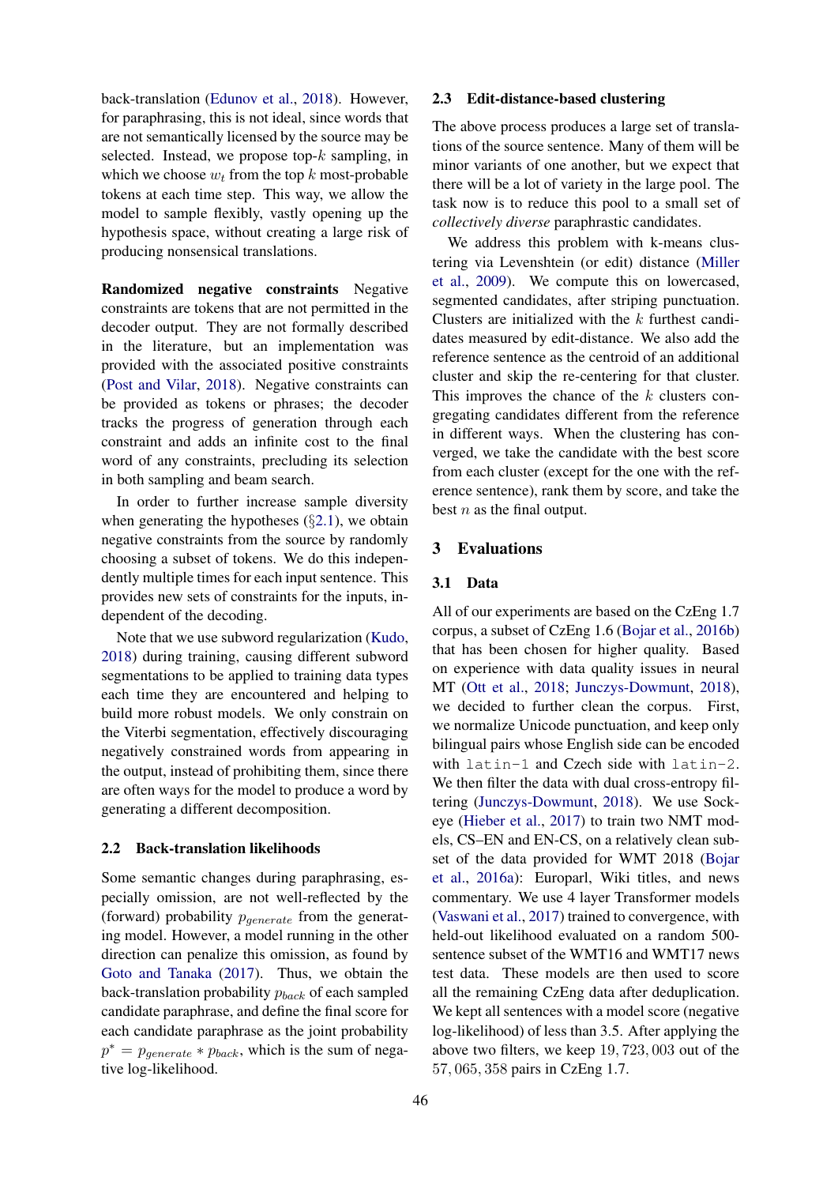back-translation [\(Edunov et al.,](#page-8-2) [2018\)](#page-8-2). However, for paraphrasing, this is not ideal, since words that are not semantically licensed by the source may be selected. Instead, we propose top- $k$  sampling, in which we choose  $w_t$  from the top k most-probable tokens at each time step. This way, we allow the model to sample flexibly, vastly opening up the hypothesis space, without creating a large risk of producing nonsensical translations.

Randomized negative constraints Negative constraints are tokens that are not permitted in the decoder output. They are not formally described in the literature, but an implementation was provided with the associated positive constraints [\(Post and Vilar,](#page-10-1) [2018\)](#page-10-1). Negative constraints can be provided as tokens or phrases; the decoder tracks the progress of generation through each constraint and adds an infinite cost to the final word of any constraints, precluding its selection in both sampling and beam search.

In order to further increase sample diversity when generating the hypotheses  $(\S 2.1)$  $(\S 2.1)$ , we obtain negative constraints from the source by randomly choosing a subset of tokens. We do this independently multiple times for each input sentence. This provides new sets of constraints for the inputs, independent of the decoding.

Note that we use subword regularization [\(Kudo,](#page-9-3) [2018\)](#page-9-3) during training, causing different subword segmentations to be applied to training data types each time they are encountered and helping to build more robust models. We only constrain on the Viterbi segmentation, effectively discouraging negatively constrained words from appearing in the output, instead of prohibiting them, since there are often ways for the model to produce a word by generating a different decomposition.

#### <span id="page-2-0"></span>2.2 Back-translation likelihoods

Some semantic changes during paraphrasing, especially omission, are not well-reflected by the (forward) probability  $p_{generate}$  from the generating model. However, a model running in the other direction can penalize this omission, as found by [Goto and Tanaka](#page-9-4) [\(2017\)](#page-9-4). Thus, we obtain the back-translation probability  $p_{back}$  of each sampled candidate paraphrase, and define the final score for each candidate paraphrase as the joint probability  $p^* = p_{generate} * p_{back}$ , which is the sum of negative log-likelihood.

### <span id="page-2-1"></span>2.3 Edit-distance-based clustering

The above process produces a large set of translations of the source sentence. Many of them will be minor variants of one another, but we expect that there will be a lot of variety in the large pool. The task now is to reduce this pool to a small set of *collectively diverse* paraphrastic candidates.

We address this problem with k-means clustering via Levenshtein (or edit) distance [\(Miller](#page-9-5) [et al.,](#page-9-5) [2009\)](#page-9-5). We compute this on lowercased, segmented candidates, after striping punctuation. Clusters are initialized with the  $k$  furthest candidates measured by edit-distance. We also add the reference sentence as the centroid of an additional cluster and skip the re-centering for that cluster. This improves the chance of the  $k$  clusters congregating candidates different from the reference in different ways. When the clustering has converged, we take the candidate with the best score from each cluster (except for the one with the reference sentence), rank them by score, and take the best  $n$  as the final output.

#### 3 Evaluations

#### 3.1 Data

All of our experiments are based on the CzEng 1.7 corpus, a subset of CzEng 1.6 [\(Bojar et al.,](#page-8-1) [2016b\)](#page-8-1) that has been chosen for higher quality. Based on experience with data quality issues in neural MT [\(Ott et al.,](#page-9-6) [2018;](#page-9-6) [Junczys-Dowmunt,](#page-9-7) [2018\)](#page-9-7), we decided to further clean the corpus. First, we normalize Unicode punctuation, and keep only bilingual pairs whose English side can be encoded with latin-1 and Czech side with latin-2. We then filter the data with dual cross-entropy filtering [\(Junczys-Dowmunt,](#page-9-7) [2018\)](#page-9-7). We use Sockeye [\(Hieber et al.,](#page-9-8) [2017\)](#page-9-8) to train two NMT models, CS–EN and EN-CS, on a relatively clean subset of the data provided for WMT 2018 [\(Bojar](#page-8-3) [et al.,](#page-8-3) [2016a\)](#page-8-3): Europarl, Wiki titles, and news commentary. We use 4 layer Transformer models [\(Vaswani et al.,](#page-10-2) [2017\)](#page-10-2) trained to convergence, with held-out likelihood evaluated on a random 500 sentence subset of the WMT16 and WMT17 news test data. These models are then used to score all the remaining CzEng data after deduplication. We kept all sentences with a model score (negative log-likelihood) of less than 3.5. After applying the above two filters, we keep 19, 723, 003 out of the 57, 065, 358 pairs in CzEng 1.7.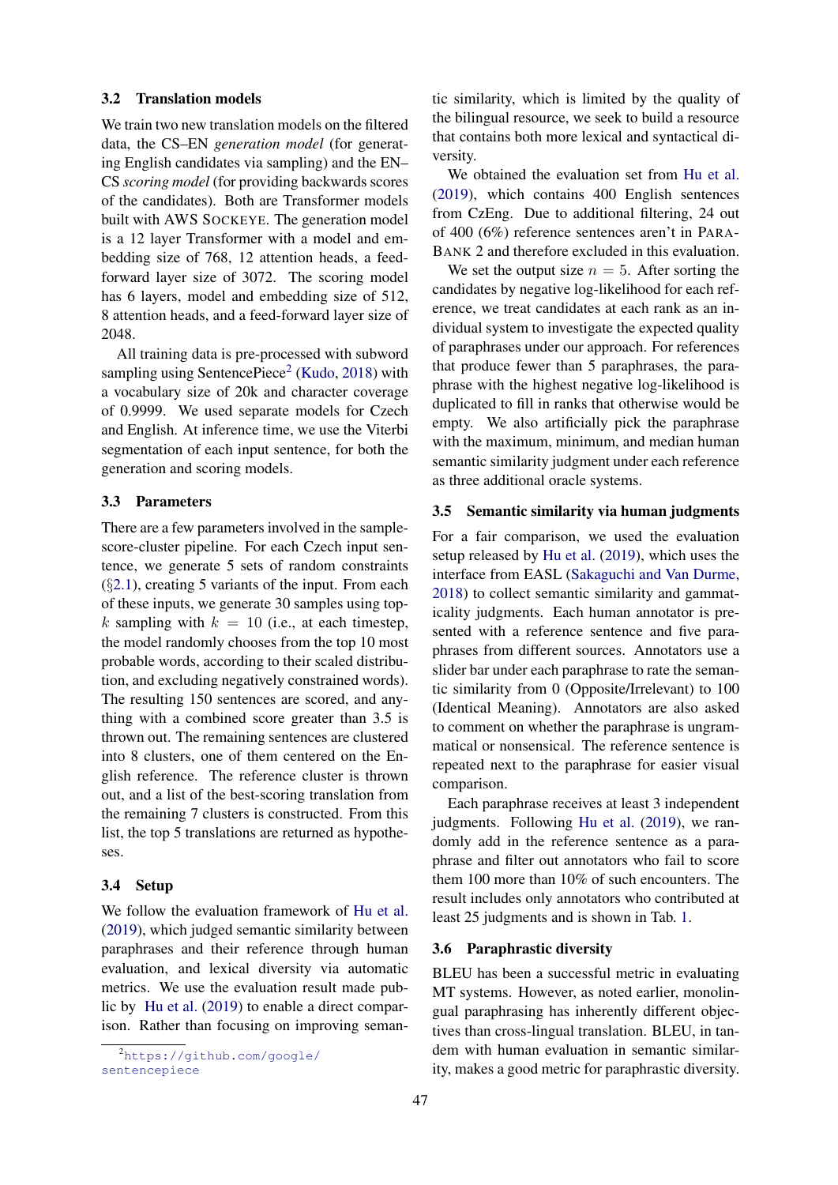### 3.2 Translation models

We train two new translation models on the filtered data, the CS–EN *generation model* (for generating English candidates via sampling) and the EN– CS *scoring model* (for providing backwards scores of the candidates). Both are Transformer models built with AWS SOCKEYE. The generation model is a 12 layer Transformer with a model and embedding size of 768, 12 attention heads, a feedforward layer size of 3072. The scoring model has 6 layers, model and embedding size of 512, 8 attention heads, and a feed-forward layer size of 2048.

All training data is pre-processed with subword sampling using SentencePiece<sup>[2](#page-3-0)</sup> [\(Kudo,](#page-9-3) [2018\)](#page-9-3) with a vocabulary size of 20k and character coverage of 0.9999. We used separate models for Czech and English. At inference time, we use the Viterbi segmentation of each input sentence, for both the generation and scoring models.

# 3.3 Parameters

There are a few parameters involved in the samplescore-cluster pipeline. For each Czech input sentence, we generate 5 sets of random constraints  $(\S 2.1)$  $(\S 2.1)$ , creating 5 variants of the input. From each of these inputs, we generate 30 samples using topk sampling with  $k = 10$  (i.e., at each timestep, the model randomly chooses from the top 10 most probable words, according to their scaled distribution, and excluding negatively constrained words). The resulting 150 sentences are scored, and anything with a combined score greater than 3.5 is thrown out. The remaining sentences are clustered into 8 clusters, one of them centered on the English reference. The reference cluster is thrown out, and a list of the best-scoring translation from the remaining 7 clusters is constructed. From this list, the top 5 translations are returned as hypotheses.

# 3.4 Setup

We follow the evaluation framework of [Hu et al.](#page-9-2) [\(2019\)](#page-9-2), which judged semantic similarity between paraphrases and their reference through human evaluation, and lexical diversity via automatic metrics. We use the evaluation result made public by [Hu et al.](#page-9-2) [\(2019\)](#page-9-2) to enable a direct comparison. Rather than focusing on improving semantic similarity, which is limited by the quality of the bilingual resource, we seek to build a resource that contains both more lexical and syntactical diversity.

We obtained the evaluation set from [Hu et al.](#page-9-2) [\(2019\)](#page-9-2), which contains 400 English sentences from CzEng. Due to additional filtering, 24 out of 400 (6%) reference sentences aren't in PARA-BANK 2 and therefore excluded in this evaluation.

We set the output size  $n = 5$ . After sorting the candidates by negative log-likelihood for each reference, we treat candidates at each rank as an individual system to investigate the expected quality of paraphrases under our approach. For references that produce fewer than 5 paraphrases, the paraphrase with the highest negative log-likelihood is duplicated to fill in ranks that otherwise would be empty. We also artificially pick the paraphrase with the maximum, minimum, and median human semantic similarity judgment under each reference as three additional oracle systems.

#### 3.5 Semantic similarity via human judgments

For a fair comparison, we used the evaluation setup released by [Hu et al.](#page-9-2) [\(2019\)](#page-9-2), which uses the interface from EASL [\(Sakaguchi and Van Durme,](#page-10-3) [2018\)](#page-10-3) to collect semantic similarity and gammaticality judgments. Each human annotator is presented with a reference sentence and five paraphrases from different sources. Annotators use a slider bar under each paraphrase to rate the semantic similarity from 0 (Opposite/Irrelevant) to 100 (Identical Meaning). Annotators are also asked to comment on whether the paraphrase is ungrammatical or nonsensical. The reference sentence is repeated next to the paraphrase for easier visual comparison.

Each paraphrase receives at least 3 independent judgments. Following [Hu et al.](#page-9-2) [\(2019\)](#page-9-2), we randomly add in the reference sentence as a paraphrase and filter out annotators who fail to score them 100 more than 10% of such encounters. The result includes only annotators who contributed at least 25 judgments and is shown in Tab. [1.](#page-4-0)

# 3.6 Paraphrastic diversity

BLEU has been a successful metric in evaluating MT systems. However, as noted earlier, monolingual paraphrasing has inherently different objectives than cross-lingual translation. BLEU, in tandem with human evaluation in semantic similarity, makes a good metric for paraphrastic diversity.

<span id="page-3-0"></span><sup>2</sup>[https://github.com/google/](https://github.com/google/sentencepiece) [sentencepiece](https://github.com/google/sentencepiece)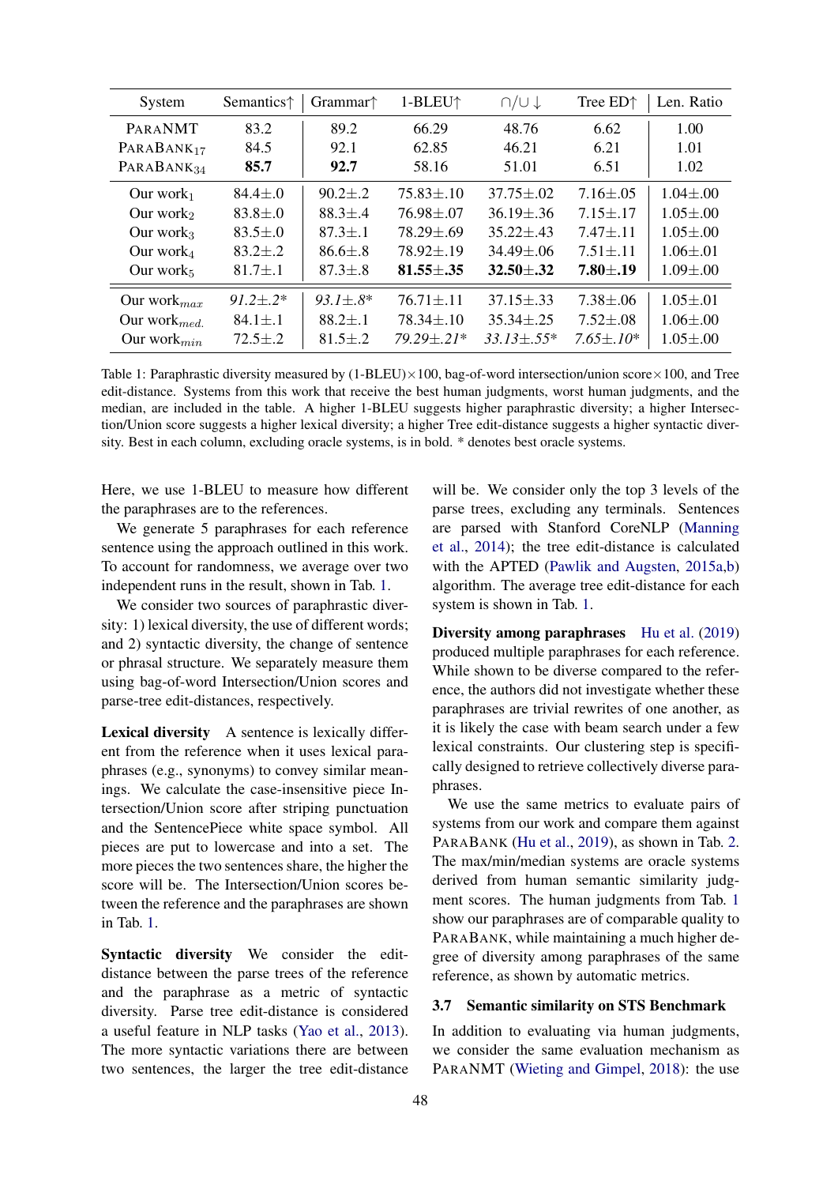<span id="page-4-0"></span>

| System                 | Semantics <sup><math>\uparrow</math></sup> | Grammar $\uparrow$ | 1-BLEU <sup>↑</sup> | $\bigcap U \downarrow$ | Tree ED <sup><math>\uparrow</math></sup> | Len. Ratio     |
|------------------------|--------------------------------------------|--------------------|---------------------|------------------------|------------------------------------------|----------------|
| PARANMT                | 83.2                                       | 89.2               | 66.29               | 48.76                  | 6.62                                     | 1.00           |
| $PARABANK_{17}$        | 84.5                                       | 92.1               | 62.85               | 46.21                  | 6.21                                     | 1.01           |
| PARABANK <sub>34</sub> | 85.7                                       | 92.7               | 58.16               | 51.01                  | 6.51                                     | 1.02           |
| Our work $_1$          | $84.4 \pm .0$                              | $90.2 \pm .2$      | $75.83 \pm .10$     | $37.75 \pm .02$        | $7.16 \pm .05$                           | $1.04 \pm .00$ |
| Our work <sub>2</sub>  | $83.8 \pm .0$                              | $88.3 \pm .4$      | $76.98 \pm .07$     | $36.19 \pm .36$        | $7.15 \pm .17$                           | $1.05 \pm .00$ |
| Our work <sub>3</sub>  | $83.5 \pm .0$                              | $87.3 \pm .1$      | $78.29 \pm .69$     | $35.22 \pm .43$        | $7.47 + .11$                             | $1.05 \pm .00$ |
| Our work $_4$          | $83.2 \pm .2$                              | $86.6 \pm .8$      | $78.92 \pm .19$     | $34.49 + 06$           | $7.51 + .11$                             | $1.06 \pm .01$ |
| Our work $_5$          | $81.7 \pm .1$                              | $87.3 \pm .8$      | $81.55 \pm .35$     | $32.50 \pm .32$        | $7.80{\pm}.19$                           | $1.09 \pm .00$ |
| Our work $_{max}$      | $91.2 + 2*$                                | $93.1 \pm .8*$     | $76.71 \pm .11$     | $37.15 \pm .33$        | $7.38 \pm .06$                           | $1.05 \pm .01$ |
| Our work $_{med.}$     | $84.1 \pm .1$                              | $88.2 \pm .1$      | $78.34 \pm .10$     | $35.34 \pm .25$        | $7.52 \pm .08$                           | $1.06 \pm .00$ |
| Our work $_{min}$      | $72.5 \pm .2$                              | $81.5 \pm .2$      | $79.29 \pm .21*$    | $33.13 \pm .55*$       | $7.65 \pm 10^*$                          | $1.05 \pm .00$ |

Table 1: Paraphrastic diversity measured by  $(1-BLEU) \times 100$ , bag-of-word intersection/union score $\times 100$ , and Tree edit-distance. Systems from this work that receive the best human judgments, worst human judgments, and the median, are included in the table. A higher 1-BLEU suggests higher paraphrastic diversity; a higher Intersection/Union score suggests a higher lexical diversity; a higher Tree edit-distance suggests a higher syntactic diversity. Best in each column, excluding oracle systems, is in bold. \* denotes best oracle systems.

Here, we use 1-BLEU to measure how different the paraphrases are to the references.

We generate 5 paraphrases for each reference sentence using the approach outlined in this work. To account for randomness, we average over two independent runs in the result, shown in Tab. [1.](#page-4-0)

We consider two sources of paraphrastic diversity: 1) lexical diversity, the use of different words; and 2) syntactic diversity, the change of sentence or phrasal structure. We separately measure them using bag-of-word Intersection/Union scores and parse-tree edit-distances, respectively.

Lexical diversity A sentence is lexically different from the reference when it uses lexical paraphrases (e.g., synonyms) to convey similar meanings. We calculate the case-insensitive piece Intersection/Union score after striping punctuation and the SentencePiece white space symbol. All pieces are put to lowercase and into a set. The more pieces the two sentences share, the higher the score will be. The Intersection/Union scores between the reference and the paraphrases are shown in Tab. [1.](#page-4-0)

Syntactic diversity We consider the editdistance between the parse trees of the reference and the paraphrase as a metric of syntactic diversity. Parse tree edit-distance is considered a useful feature in NLP tasks [\(Yao et al.,](#page-10-4) [2013\)](#page-10-4). The more syntactic variations there are between two sentences, the larger the tree edit-distance

will be. We consider only the top 3 levels of the parse trees, excluding any terminals. Sentences are parsed with Stanford CoreNLP [\(Manning](#page-9-9) [et al.,](#page-9-9) [2014\)](#page-9-9); the tree edit-distance is calculated with the APTED [\(Pawlik and Augsten,](#page-10-5) [2015a](#page-10-5)[,b\)](#page-10-6) algorithm. The average tree edit-distance for each system is shown in Tab. [1.](#page-4-0)

Diversity among paraphrases [Hu et al.](#page-9-2) [\(2019\)](#page-9-2) produced multiple paraphrases for each reference. While shown to be diverse compared to the reference, the authors did not investigate whether these paraphrases are trivial rewrites of one another, as it is likely the case with beam search under a few lexical constraints. Our clustering step is specifically designed to retrieve collectively diverse paraphrases.

We use the same metrics to evaluate pairs of systems from our work and compare them against PARABANK [\(Hu et al.,](#page-9-2) [2019\)](#page-9-2), as shown in Tab. [2.](#page-5-0) The max/min/median systems are oracle systems derived from human semantic similarity judgment scores. The human judgments from Tab. [1](#page-4-0) show our paraphrases are of comparable quality to PARABANK, while maintaining a much higher degree of diversity among paraphrases of the same reference, as shown by automatic metrics.

## <span id="page-4-1"></span>3.7 Semantic similarity on STS Benchmark

In addition to evaluating via human judgments, we consider the same evaluation mechanism as PARANMT [\(Wieting and Gimpel,](#page-10-0) [2018\)](#page-10-0): the use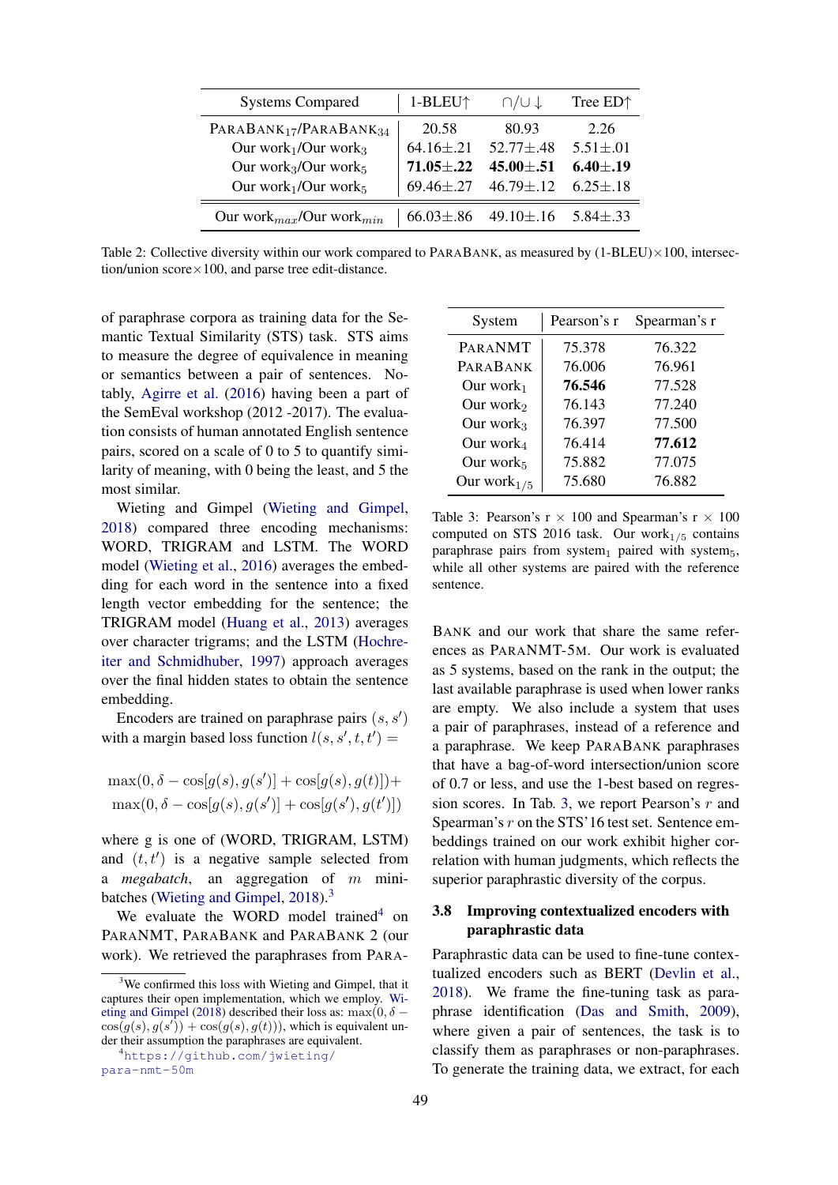<span id="page-5-0"></span>

| <b>Systems Compared</b>                        | $1-BLEU$ <sup><math>\uparrow</math></sup> | $\bigcap U \downarrow$ | Tree ED <sup><math>\uparrow</math></sup> |
|------------------------------------------------|-------------------------------------------|------------------------|------------------------------------------|
| PARABANK <sub>17</sub> /PARABANK <sub>34</sub> | 20.58                                     | 80.93                  | 2.26                                     |
| Our work $_1$ /Our work $_3$                   | $64.16 \pm .21$                           | $52.77 \pm .48$        | $5.51 \pm .01$                           |
| Our work $_3$ /Our work $_5$                   | $71.05 \pm .22$                           | $45.00 \pm .51$        | $6.40 \pm .19$                           |
| Our work $1$ /Our work $5$                     | $69.46 \pm .27$                           | $46.79 \pm .12$        | $6.25 \pm .18$                           |
| Our work $_{max}/$ Our work $_{min}$           | $66.03 \pm .86$                           | 49.10 $\pm$ .16        | $5.84 \pm .33$                           |

Table 2: Collective diversity within our work compared to PARABANK, as measured by  $(1-BLEU) \times 100$ , intersection/union  $score \times 100$ , and parse tree edit-distance.

of paraphrase corpora as training data for the Semantic Textual Similarity (STS) task. STS aims to measure the degree of equivalence in meaning or semantics between a pair of sentences. Notably, [Agirre et al.](#page-8-4) [\(2016\)](#page-8-4) having been a part of the SemEval workshop (2012 -2017). The evaluation consists of human annotated English sentence pairs, scored on a scale of 0 to 5 to quantify similarity of meaning, with 0 being the least, and 5 the most similar.

Wieting and Gimpel [\(Wieting and Gimpel,](#page-10-0) [2018\)](#page-10-0) compared three encoding mechanisms: WORD, TRIGRAM and LSTM. The WORD model [\(Wieting et al.,](#page-10-7) [2016\)](#page-10-7) averages the embedding for each word in the sentence into a fixed length vector embedding for the sentence; the TRIGRAM model [\(Huang et al.,](#page-9-10) [2013\)](#page-9-10) averages over character trigrams; and the LSTM [\(Hochre](#page-9-11)[iter and Schmidhuber,](#page-9-11) [1997\)](#page-9-11) approach averages over the final hidden states to obtain the sentence embedding.

Encoders are trained on paraphrase pairs  $(s, s')$ with a margin based loss function  $l(s, s', t, t') =$ 

$$
\max(0, \delta - \cos[g(s), g(s')] + \cos[g(s), g(t)]) + \max(0, \delta - \cos[g(s), g(s')] + \cos[g(s'), g(t')])
$$

where g is one of (WORD, TRIGRAM, LSTM) and  $(t, t')$  is a negative sample selected from a *megabatch*, an aggregation of m mini-batches [\(Wieting and Gimpel,](#page-10-0) [2018\)](#page-10-0).<sup>[3](#page-5-1)</sup>

We evaluate the WORD model trained<sup>[4](#page-5-2)</sup> on PARANMT, PARABANK and PARABANK 2 (our work). We retrieved the paraphrases from PARA-

<span id="page-5-3"></span>

| System            | Pearson's r | Spearman's r |  |
|-------------------|-------------|--------------|--|
| PARANMT           | 75.378      | 76.322       |  |
| PARABANK          | 76.006      | 76.961       |  |
| Our work $_1$     | 76.546      | 77.528       |  |
| Our work $_2$     | 76.143      | 77.240       |  |
| Our work $_3$     | 76.397      | 77.500       |  |
| Our work $_4$     | 76.414      | 77.612       |  |
| Our work $_5$     | 75.882      | 77.075       |  |
| Our work $_{1/5}$ | 75.680      | 76.882       |  |

Table 3: Pearson's  $r \times 100$  and Spearman's  $r \times 100$ computed on STS 2016 task. Our work $_{1/5}$  contains paraphrase pairs from system<sub>1</sub> paired with system<sub>5</sub>, while all other systems are paired with the reference sentence.

BANK and our work that share the same references as PARANMT-5M. Our work is evaluated as 5 systems, based on the rank in the output; the last available paraphrase is used when lower ranks are empty. We also include a system that uses a pair of paraphrases, instead of a reference and a paraphrase. We keep PARABANK paraphrases that have a bag-of-word intersection/union score of 0.7 or less, and use the 1-best based on regression scores. In Tab. [3,](#page-5-3) we report Pearson's r and Spearman's r on the STS'16 test set. Sentence embeddings trained on our work exhibit higher correlation with human judgments, which reflects the superior paraphrastic diversity of the corpus.

# 3.8 Improving contextualized encoders with paraphrastic data

Paraphrastic data can be used to fine-tune contextualized encoders such as BERT [\(Devlin et al.,](#page-8-5) [2018\)](#page-8-5). We frame the fine-tuning task as paraphrase identification [\(Das and Smith,](#page-8-6) [2009\)](#page-8-6), where given a pair of sentences, the task is to classify them as paraphrases or non-paraphrases. To generate the training data, we extract, for each

<span id="page-5-1"></span><sup>&</sup>lt;sup>3</sup>We confirmed this loss with Wieting and Gimpel, that it captures their open implementation, which we employ. [Wi](#page-10-0)[eting and Gimpel](#page-10-0) [\(2018\)](#page-10-0) described their loss as: max(0,  $\delta$  –  $\cos(g(s), g(s')) + \cos(g(s), g(t)))$ , which is equivalent under their assumption the paraphrases are equivalent.

<span id="page-5-2"></span><sup>4</sup>[https://github.com/jwieting/](https://github.com/jwieting/para-nmt-50m) [para-nmt-50m](https://github.com/jwieting/para-nmt-50m)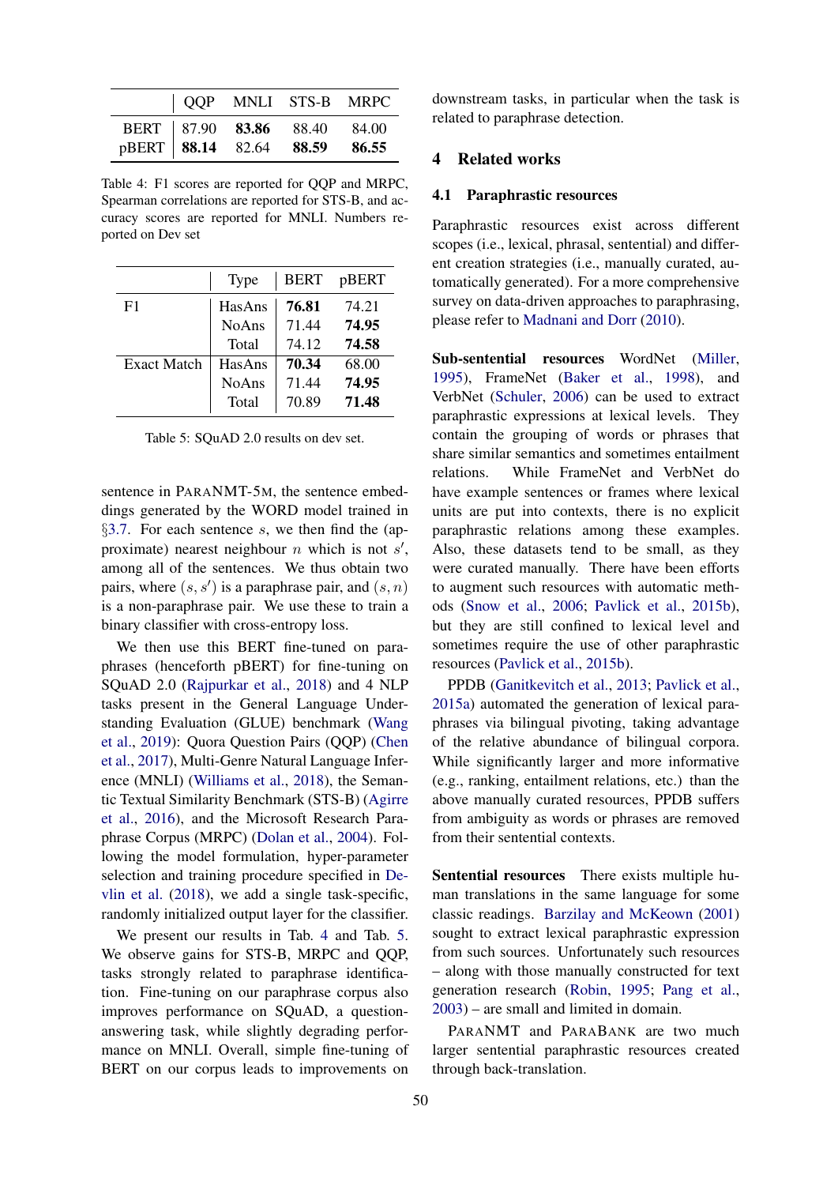<span id="page-6-0"></span>

|  |                                                               | QQP MNLI STS-B MRPC |
|--|---------------------------------------------------------------|---------------------|
|  | BERT 87.90 83.86 88.40 84.00<br>pBERT 88.14 82.64 88.59 86.55 |                     |
|  |                                                               |                     |

Table 4: F1 scores are reported for QQP and MRPC, Spearman correlations are reported for STS-B, and accuracy scores are reported for MNLI. Numbers reported on Dev set

<span id="page-6-1"></span>

|                    | <b>Type</b>  | <b>BERT</b> | pBERT |
|--------------------|--------------|-------------|-------|
| F1                 | HasAns       | 76.81       | 74.21 |
|                    | <b>NoAns</b> | 71.44       | 74.95 |
|                    | Total        | 74.12       | 74.58 |
| <b>Exact Match</b> | HasAns       | 70.34       | 68.00 |
|                    | <b>NoAns</b> | 71.44       | 74.95 |
|                    | Total        | 70.89       | 71.48 |

Table 5: SQuAD 2.0 results on dev set.

sentence in PARANMT-5M, the sentence embeddings generated by the WORD model trained in §[3.7.](#page-4-1) For each sentence  $s$ , we then find the (approximate) nearest neighbour  $n$  which is not  $s'$ , among all of the sentences. We thus obtain two pairs, where  $(s, s')$  is a paraphrase pair, and  $(s, n)$ is a non-paraphrase pair. We use these to train a binary classifier with cross-entropy loss.

We then use this BERT fine-tuned on paraphrases (henceforth pBERT) for fine-tuning on SQuAD 2.0 [\(Rajpurkar et al.,](#page-10-8) [2018\)](#page-10-8) and 4 NLP tasks present in the General Language Understanding Evaluation (GLUE) benchmark [\(Wang](#page-10-9) [et al.,](#page-10-9) [2019\)](#page-10-9): Quora Question Pairs (QQP) [\(Chen](#page-8-7) [et al.,](#page-8-7) [2017\)](#page-8-7), Multi-Genre Natural Language Inference (MNLI) [\(Williams et al.,](#page-10-10) [2018\)](#page-10-10), the Semantic Textual Similarity Benchmark (STS-B) [\(Agirre](#page-8-4) [et al.,](#page-8-4) [2016\)](#page-8-4), and the Microsoft Research Paraphrase Corpus (MRPC) [\(Dolan et al.,](#page-8-8) [2004\)](#page-8-8). Following the model formulation, hyper-parameter selection and training procedure specified in [De](#page-8-5)[vlin et al.](#page-8-5) [\(2018\)](#page-8-5), we add a single task-specific, randomly initialized output layer for the classifier.

We present our results in Tab. [4](#page-6-0) and Tab. [5.](#page-6-1) We observe gains for STS-B, MRPC and QQP, tasks strongly related to paraphrase identification. Fine-tuning on our paraphrase corpus also improves performance on SQuAD, a questionanswering task, while slightly degrading performance on MNLI. Overall, simple fine-tuning of BERT on our corpus leads to improvements on

downstream tasks, in particular when the task is related to paraphrase detection.

### 4 Related works

### 4.1 Paraphrastic resources

Paraphrastic resources exist across different scopes (i.e., lexical, phrasal, sentential) and different creation strategies (i.e., manually curated, automatically generated). For a more comprehensive survey on data-driven approaches to paraphrasing, please refer to [Madnani and Dorr](#page-9-12) [\(2010\)](#page-9-12).

Sub-sentential resources WordNet [\(Miller,](#page-9-13) [1995\)](#page-9-13), FrameNet [\(Baker et al.,](#page-8-9) [1998\)](#page-8-9), and VerbNet [\(Schuler,](#page-10-11) [2006\)](#page-10-11) can be used to extract paraphrastic expressions at lexical levels. They contain the grouping of words or phrases that share similar semantics and sometimes entailment relations. While FrameNet and VerbNet do have example sentences or frames where lexical units are put into contexts, there is no explicit paraphrastic relations among these examples. Also, these datasets tend to be small, as they were curated manually. There have been efforts to augment such resources with automatic methods [\(Snow et al.,](#page-10-12) [2006;](#page-10-12) [Pavlick et al.,](#page-10-13) [2015b\)](#page-10-13), but they are still confined to lexical level and sometimes require the use of other paraphrastic resources [\(Pavlick et al.,](#page-10-13) [2015b\)](#page-10-13).

PPDB [\(Ganitkevitch et al.,](#page-9-14) [2013;](#page-9-14) [Pavlick et al.,](#page-10-14) [2015a\)](#page-10-14) automated the generation of lexical paraphrases via bilingual pivoting, taking advantage of the relative abundance of bilingual corpora. While significantly larger and more informative (e.g., ranking, entailment relations, etc.) than the above manually curated resources, PPDB suffers from ambiguity as words or phrases are removed from their sentential contexts.

Sentential resources There exists multiple human translations in the same language for some classic readings. [Barzilay and McKeown](#page-8-10) [\(2001\)](#page-8-10) sought to extract lexical paraphrastic expression from such sources. Unfortunately such resources – along with those manually constructed for text generation research [\(Robin,](#page-10-15) [1995;](#page-10-15) [Pang et al.,](#page-9-15) [2003\)](#page-9-15) – are small and limited in domain.

PARANMT and PARABANK are two much larger sentential paraphrastic resources created through back-translation.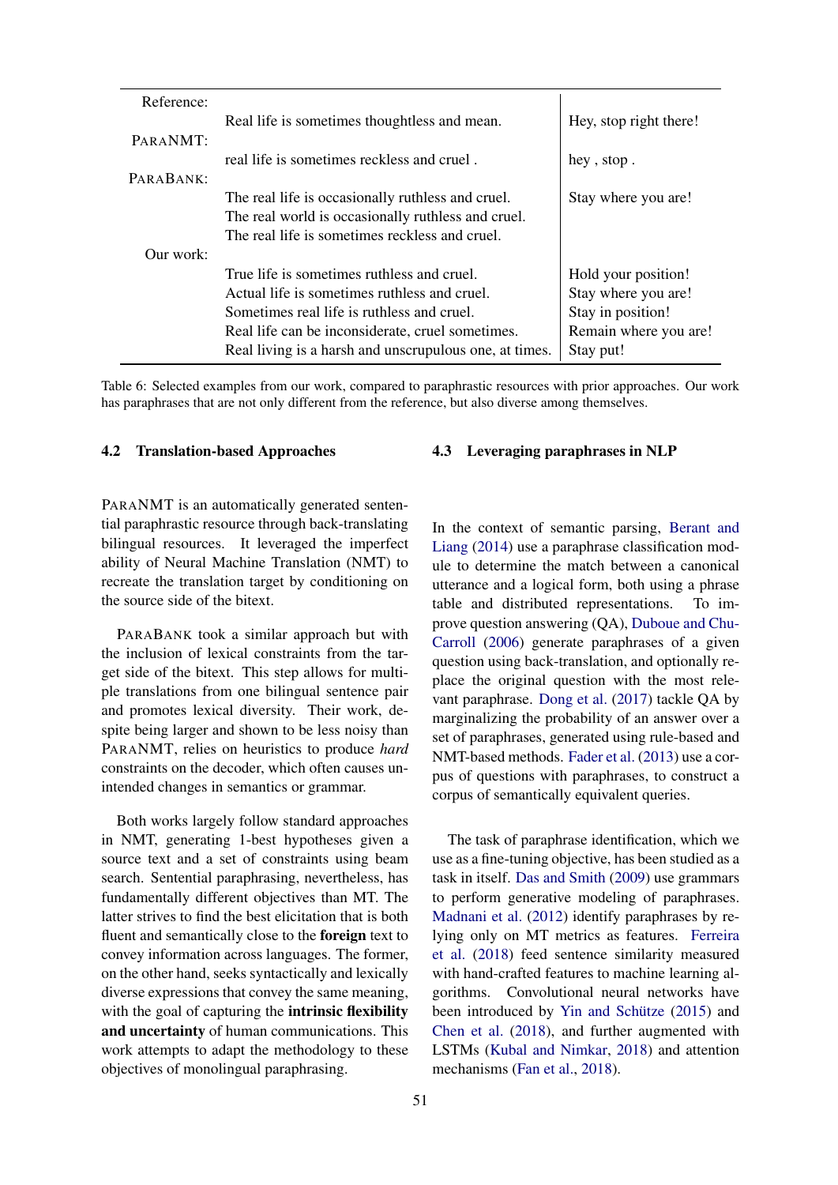| Reference: |                                                        |                        |
|------------|--------------------------------------------------------|------------------------|
|            | Real life is sometimes thoughtless and mean.           | Hey, stop right there! |
| PARANMT:   |                                                        |                        |
|            | real life is sometimes reckless and cruel.             | hey, stop.             |
| PARABANK:  |                                                        |                        |
|            | The real life is occasionally ruthless and cruel.      | Stay where you are!    |
|            | The real world is occasionally ruthless and cruel.     |                        |
|            | The real life is sometimes reckless and cruel.         |                        |
| Our work:  |                                                        |                        |
|            | True life is sometimes ruthless and cruel.             | Hold your position!    |
|            | Actual life is sometimes ruthless and cruel.           | Stay where you are!    |
|            | Sometimes real life is ruthless and cruel.             | Stay in position!      |
|            | Real life can be inconsiderate, cruel sometimes.       | Remain where you are!  |
|            | Real living is a harsh and unscrupulous one, at times. | Stay put!              |

Table 6: Selected examples from our work, compared to paraphrastic resources with prior approaches. Our work has paraphrases that are not only different from the reference, but also diverse among themselves.

#### 4.2 Translation-based Approaches

PARANMT is an automatically generated sentential paraphrastic resource through back-translating bilingual resources. It leveraged the imperfect ability of Neural Machine Translation (NMT) to recreate the translation target by conditioning on the source side of the bitext.

PARABANK took a similar approach but with the inclusion of lexical constraints from the target side of the bitext. This step allows for multiple translations from one bilingual sentence pair and promotes lexical diversity. Their work, despite being larger and shown to be less noisy than PARANMT, relies on heuristics to produce *hard* constraints on the decoder, which often causes unintended changes in semantics or grammar.

Both works largely follow standard approaches in NMT, generating 1-best hypotheses given a source text and a set of constraints using beam search. Sentential paraphrasing, nevertheless, has fundamentally different objectives than MT. The latter strives to find the best elicitation that is both fluent and semantically close to the foreign text to convey information across languages. The former, on the other hand, seeks syntactically and lexically diverse expressions that convey the same meaning, with the goal of capturing the **intrinsic flexibility** and uncertainty of human communications. This work attempts to adapt the methodology to these objectives of monolingual paraphrasing.

### 4.3 Leveraging paraphrases in NLP

In the context of semantic parsing, [Berant and](#page-8-11) [Liang](#page-8-11) [\(2014\)](#page-8-11) use a paraphrase classification module to determine the match between a canonical utterance and a logical form, both using a phrase table and distributed representations. To improve question answering (QA), [Duboue and Chu-](#page-8-12)[Carroll](#page-8-12) [\(2006\)](#page-8-12) generate paraphrases of a given question using back-translation, and optionally replace the original question with the most relevant paraphrase. [Dong et al.](#page-8-13) [\(2017\)](#page-8-13) tackle QA by marginalizing the probability of an answer over a set of paraphrases, generated using rule-based and NMT-based methods. [Fader et al.](#page-9-16) [\(2013\)](#page-9-16) use a corpus of questions with paraphrases, to construct a corpus of semantically equivalent queries.

The task of paraphrase identification, which we use as a fine-tuning objective, has been studied as a task in itself. [Das and Smith](#page-8-6) [\(2009\)](#page-8-6) use grammars to perform generative modeling of paraphrases. [Madnani et al.](#page-9-17) [\(2012\)](#page-9-17) identify paraphrases by relying only on MT metrics as features. [Ferreira](#page-9-18) [et al.](#page-9-18) [\(2018\)](#page-9-18) feed sentence similarity measured with hand-crafted features to machine learning algorithms. Convolutional neural networks have been introduced by Yin and Schütze [\(2015\)](#page-10-16) and [Chen et al.](#page-8-14) [\(2018\)](#page-8-14), and further augmented with LSTMs [\(Kubal and Nimkar,](#page-9-19) [2018\)](#page-9-19) and attention mechanisms [\(Fan et al.,](#page-9-20) [2018\)](#page-9-20).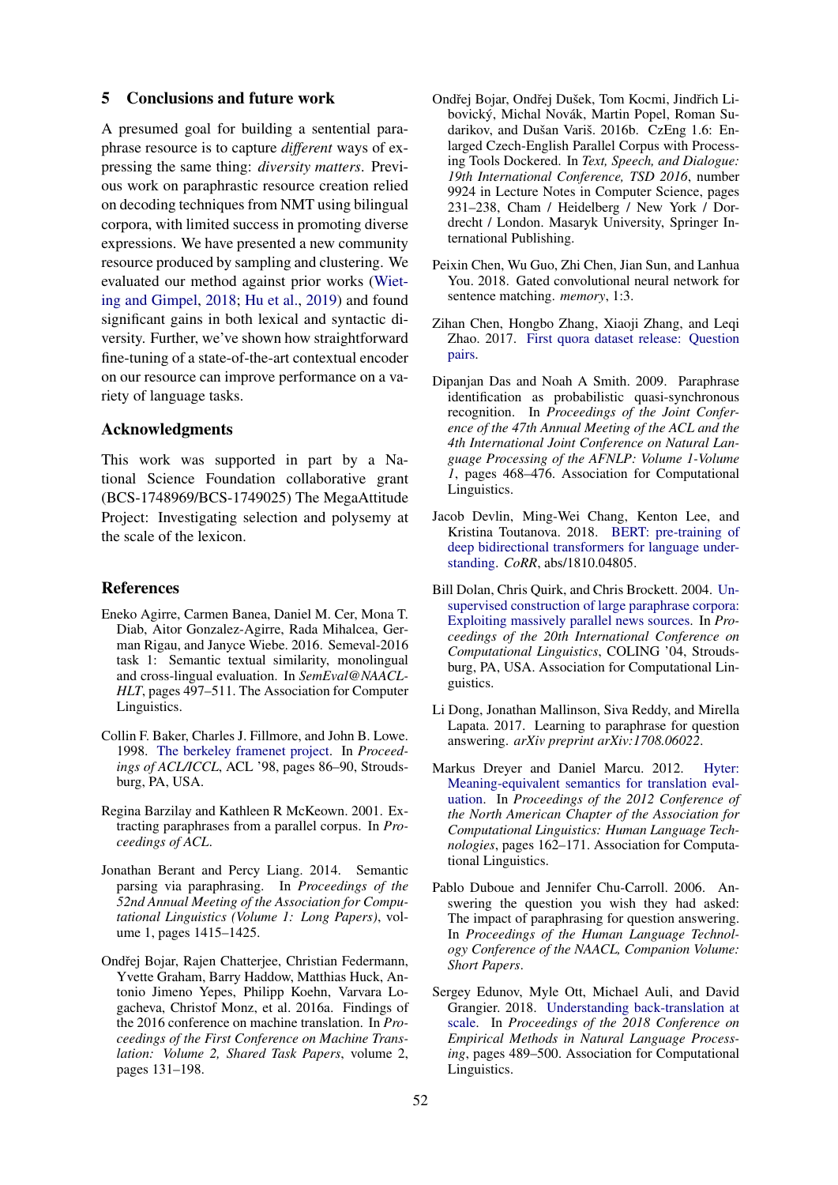#### 5 Conclusions and future work

A presumed goal for building a sentential paraphrase resource is to capture *different* ways of expressing the same thing: *diversity matters*. Previous work on paraphrastic resource creation relied on decoding techniques from NMT using bilingual corpora, with limited success in promoting diverse expressions. We have presented a new community resource produced by sampling and clustering. We evaluated our method against prior works [\(Wiet](#page-10-0)[ing and Gimpel,](#page-10-0) [2018;](#page-10-0) [Hu et al.,](#page-9-2) [2019\)](#page-9-2) and found significant gains in both lexical and syntactic diversity. Further, we've shown how straightforward fine-tuning of a state-of-the-art contextual encoder on our resource can improve performance on a variety of language tasks.

# Acknowledgments

This work was supported in part by a National Science Foundation collaborative grant (BCS-1748969/BCS-1749025) The MegaAttitude Project: Investigating selection and polysemy at the scale of the lexicon.

#### References

- <span id="page-8-4"></span>Eneko Agirre, Carmen Banea, Daniel M. Cer, Mona T. Diab, Aitor Gonzalez-Agirre, Rada Mihalcea, German Rigau, and Janyce Wiebe. 2016. Semeval-2016 task 1: Semantic textual similarity, monolingual and cross-lingual evaluation. In *SemEval@NAACL-HLT*, pages 497–511. The Association for Computer Linguistics.
- <span id="page-8-9"></span>Collin F. Baker, Charles J. Fillmore, and John B. Lowe. 1998. [The berkeley framenet project.](https://doi.org/10.3115/980845.980860) In *Proceedings of ACL/ICCL*, ACL '98, pages 86–90, Stroudsburg, PA, USA.
- <span id="page-8-10"></span>Regina Barzilay and Kathleen R McKeown. 2001. Extracting paraphrases from a parallel corpus. In *Proceedings of ACL*.
- <span id="page-8-11"></span>Jonathan Berant and Percy Liang. 2014. Semantic parsing via paraphrasing. In *Proceedings of the 52nd Annual Meeting of the Association for Computational Linguistics (Volume 1: Long Papers)*, volume 1, pages 1415–1425.
- <span id="page-8-3"></span>Ondřej Bojar, Rajen Chatterjee, Christian Federmann, Yvette Graham, Barry Haddow, Matthias Huck, Antonio Jimeno Yepes, Philipp Koehn, Varvara Logacheva, Christof Monz, et al. 2016a. Findings of the 2016 conference on machine translation. In *Proceedings of the First Conference on Machine Translation: Volume 2, Shared Task Papers*, volume 2, pages 131–198.
- <span id="page-8-1"></span>Ondřej Bojar, Ondřej Dušek, Tom Kocmi, Jindřich Libovický, Michal Novák, Martin Popel, Roman Sudarikov, and Dušan Variš. 2016b. CzEng 1.6: Enlarged Czech-English Parallel Corpus with Processing Tools Dockered. In *Text, Speech, and Dialogue: 19th International Conference, TSD 2016*, number 9924 in Lecture Notes in Computer Science, pages 231–238, Cham / Heidelberg / New York / Dordrecht / London. Masaryk University, Springer International Publishing.
- <span id="page-8-14"></span>Peixin Chen, Wu Guo, Zhi Chen, Jian Sun, and Lanhua You. 2018. Gated convolutional neural network for sentence matching. *memory*, 1:3.
- <span id="page-8-7"></span>Zihan Chen, Hongbo Zhang, Xiaoji Zhang, and Leqi Zhao. 2017. [First quora dataset release: Question](https://data.quora.com/First-Quora-Dataset-Release-Question-Pairs) [pairs.](https://data.quora.com/First-Quora-Dataset-Release-Question-Pairs)
- <span id="page-8-6"></span>Dipanjan Das and Noah A Smith. 2009. Paraphrase identification as probabilistic quasi-synchronous recognition. In *Proceedings of the Joint Conference of the 47th Annual Meeting of the ACL and the 4th International Joint Conference on Natural Language Processing of the AFNLP: Volume 1-Volume 1*, pages 468–476. Association for Computational Linguistics.
- <span id="page-8-5"></span>Jacob Devlin, Ming-Wei Chang, Kenton Lee, and Kristina Toutanova. 2018. [BERT: pre-training of](http://arxiv.org/abs/1810.04805) [deep bidirectional transformers for language under](http://arxiv.org/abs/1810.04805)[standing.](http://arxiv.org/abs/1810.04805) *CoRR*, abs/1810.04805.
- <span id="page-8-8"></span>Bill Dolan, Chris Quirk, and Chris Brockett. 2004. [Un](https://doi.org/10.3115/1220355.1220406)[supervised construction of large paraphrase corpora:](https://doi.org/10.3115/1220355.1220406) [Exploiting massively parallel news sources.](https://doi.org/10.3115/1220355.1220406) In *Proceedings of the 20th International Conference on Computational Linguistics*, COLING '04, Stroudsburg, PA, USA. Association for Computational Linguistics.
- <span id="page-8-13"></span>Li Dong, Jonathan Mallinson, Siva Reddy, and Mirella Lapata. 2017. Learning to paraphrase for question answering. *arXiv preprint arXiv:1708.06022*.
- <span id="page-8-0"></span>Markus Dreyer and Daniel Marcu. 2012. [Hyter:](http://aclweb.org/anthology/N12-1017) [Meaning-equivalent semantics for translation eval](http://aclweb.org/anthology/N12-1017)[uation.](http://aclweb.org/anthology/N12-1017) In *Proceedings of the 2012 Conference of the North American Chapter of the Association for Computational Linguistics: Human Language Technologies*, pages 162–171. Association for Computational Linguistics.
- <span id="page-8-12"></span>Pablo Duboue and Jennifer Chu-Carroll. 2006. Answering the question you wish they had asked: The impact of paraphrasing for question answering. In *Proceedings of the Human Language Technology Conference of the NAACL, Companion Volume: Short Papers*.
- <span id="page-8-2"></span>Sergey Edunov, Myle Ott, Michael Auli, and David Grangier. 2018. [Understanding back-translation at](http://aclweb.org/anthology/D18-1045) [scale.](http://aclweb.org/anthology/D18-1045) In *Proceedings of the 2018 Conference on Empirical Methods in Natural Language Processing*, pages 489–500. Association for Computational Linguistics.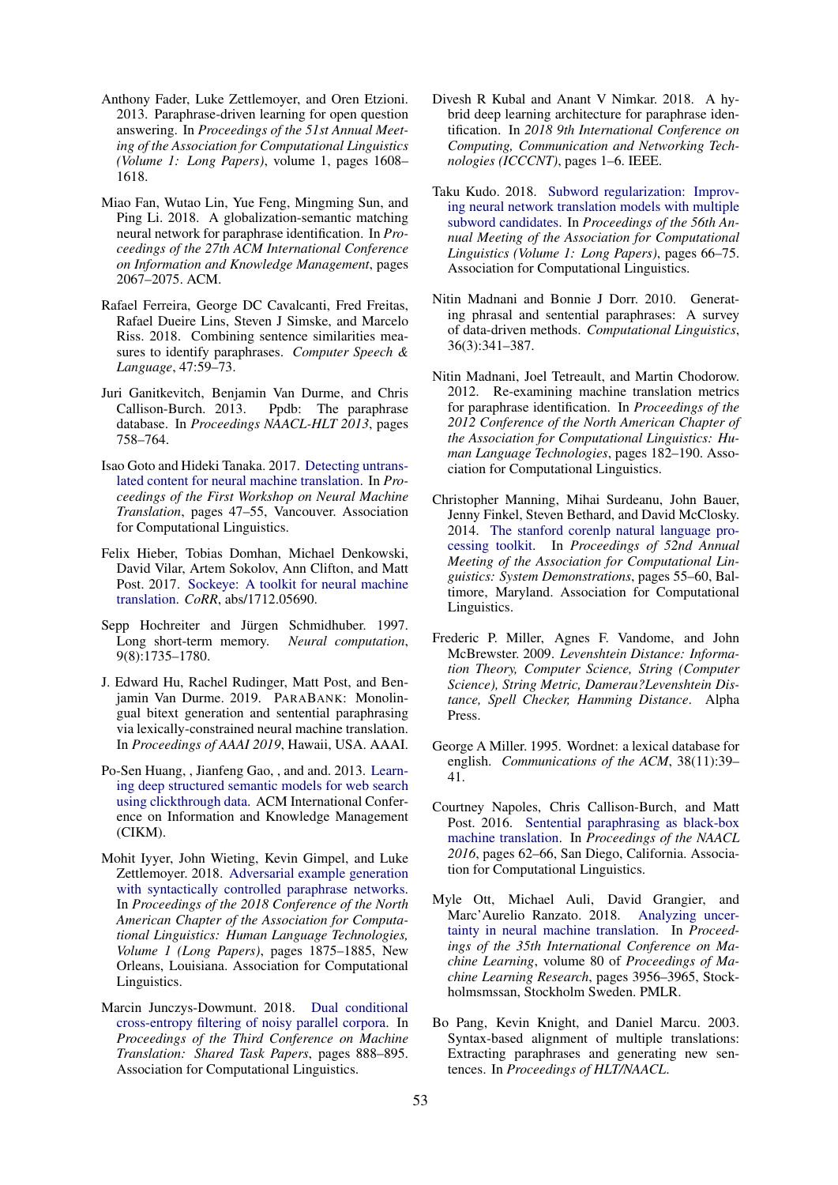- <span id="page-9-16"></span>Anthony Fader, Luke Zettlemoyer, and Oren Etzioni. 2013. Paraphrase-driven learning for open question answering. In *Proceedings of the 51st Annual Meeting of the Association for Computational Linguistics (Volume 1: Long Papers)*, volume 1, pages 1608– 1618.
- <span id="page-9-20"></span>Miao Fan, Wutao Lin, Yue Feng, Mingming Sun, and Ping Li. 2018. A globalization-semantic matching neural network for paraphrase identification. In *Proceedings of the 27th ACM International Conference on Information and Knowledge Management*, pages 2067–2075. ACM.
- <span id="page-9-18"></span>Rafael Ferreira, George DC Cavalcanti, Fred Freitas, Rafael Dueire Lins, Steven J Simske, and Marcelo Riss. 2018. Combining sentence similarities measures to identify paraphrases. *Computer Speech & Language*, 47:59–73.
- <span id="page-9-14"></span>Juri Ganitkevitch, Benjamin Van Durme, and Chris Callison-Burch. 2013. Ppdb: The paraphrase database. In *Proceedings NAACL-HLT 2013*, pages 758–764.
- <span id="page-9-4"></span>Isao Goto and Hideki Tanaka. 2017. [Detecting untrans](http://www.aclweb.org/anthology/W17-3206)[lated content for neural machine translation.](http://www.aclweb.org/anthology/W17-3206) In *Proceedings of the First Workshop on Neural Machine Translation*, pages 47–55, Vancouver. Association for Computational Linguistics.
- <span id="page-9-8"></span>Felix Hieber, Tobias Domhan, Michael Denkowski, David Vilar, Artem Sokolov, Ann Clifton, and Matt Post. 2017. [Sockeye: A toolkit for neural machine](http://arxiv.org/abs/1712.05690) [translation.](http://arxiv.org/abs/1712.05690) *CoRR*, abs/1712.05690.
- <span id="page-9-11"></span>Sepp Hochreiter and Jürgen Schmidhuber. 1997. Long short-term memory. *Neural computation*, 9(8):1735–1780.
- <span id="page-9-2"></span>J. Edward Hu, Rachel Rudinger, Matt Post, and Benjamin Van Durme. 2019. PARABANK: Monolingual bitext generation and sentential paraphrasing via lexically-constrained neural machine translation. In *Proceedings of AAAI 2019*, Hawaii, USA. AAAI.
- <span id="page-9-10"></span>Po-Sen Huang, , Jianfeng Gao, , and and. 2013. [Learn](https://www.microsoft.com/en-us/research/publication/learning-deep-structured-semantic-models-for-web-search-using-clickthrough-data/)[ing deep structured semantic models for web search](https://www.microsoft.com/en-us/research/publication/learning-deep-structured-semantic-models-for-web-search-using-clickthrough-data/) [using clickthrough data.](https://www.microsoft.com/en-us/research/publication/learning-deep-structured-semantic-models-for-web-search-using-clickthrough-data/) ACM International Conference on Information and Knowledge Management (CIKM).
- <span id="page-9-0"></span>Mohit Iyyer, John Wieting, Kevin Gimpel, and Luke Zettlemoyer. 2018. [Adversarial example generation](http://www.aclweb.org/anthology/N18-1170) [with syntactically controlled paraphrase networks.](http://www.aclweb.org/anthology/N18-1170) In *Proceedings of the 2018 Conference of the North American Chapter of the Association for Computational Linguistics: Human Language Technologies, Volume 1 (Long Papers)*, pages 1875–1885, New Orleans, Louisiana. Association for Computational Linguistics.
- <span id="page-9-7"></span>Marcin Junczys-Dowmunt. 2018. [Dual conditional](http://aclweb.org/anthology/W18-6478) [cross-entropy filtering of noisy parallel corpora.](http://aclweb.org/anthology/W18-6478) In *Proceedings of the Third Conference on Machine Translation: Shared Task Papers*, pages 888–895. Association for Computational Linguistics.
- <span id="page-9-19"></span>Divesh R Kubal and Anant V Nimkar. 2018. A hybrid deep learning architecture for paraphrase identification. In *2018 9th International Conference on Computing, Communication and Networking Technologies (ICCCNT)*, pages 1–6. IEEE.
- <span id="page-9-3"></span>Taku Kudo. 2018. [Subword regularization: Improv](http://aclweb.org/anthology/P18-1007)[ing neural network translation models with multiple](http://aclweb.org/anthology/P18-1007) [subword candidates.](http://aclweb.org/anthology/P18-1007) In *Proceedings of the 56th Annual Meeting of the Association for Computational Linguistics (Volume 1: Long Papers)*, pages 66–75. Association for Computational Linguistics.
- <span id="page-9-12"></span>Nitin Madnani and Bonnie J Dorr. 2010. Generating phrasal and sentential paraphrases: A survey of data-driven methods. *Computational Linguistics*, 36(3):341–387.
- <span id="page-9-17"></span>Nitin Madnani, Joel Tetreault, and Martin Chodorow. 2012. Re-examining machine translation metrics for paraphrase identification. In *Proceedings of the 2012 Conference of the North American Chapter of the Association for Computational Linguistics: Human Language Technologies*, pages 182–190. Association for Computational Linguistics.
- <span id="page-9-9"></span>Christopher Manning, Mihai Surdeanu, John Bauer, Jenny Finkel, Steven Bethard, and David McClosky. 2014. [The stanford corenlp natural language pro](http://www.aclweb.org/anthology/P14-5010)[cessing toolkit.](http://www.aclweb.org/anthology/P14-5010) In *Proceedings of 52nd Annual Meeting of the Association for Computational Linguistics: System Demonstrations*, pages 55–60, Baltimore, Maryland. Association for Computational Linguistics.
- <span id="page-9-5"></span>Frederic P. Miller, Agnes F. Vandome, and John McBrewster. 2009. *Levenshtein Distance: Information Theory, Computer Science, String (Computer Science), String Metric, Damerau?Levenshtein Distance, Spell Checker, Hamming Distance*. Alpha Press.
- <span id="page-9-13"></span>George A Miller. 1995. Wordnet: a lexical database for english. *Communications of the ACM*, 38(11):39– 41.
- <span id="page-9-1"></span>Courtney Napoles, Chris Callison-Burch, and Matt Post. 2016. [Sentential paraphrasing as black-box](http://www.aclweb.org/anthology/N16-3013) [machine translation.](http://www.aclweb.org/anthology/N16-3013) In *Proceedings of the NAACL 2016*, pages 62–66, San Diego, California. Association for Computational Linguistics.
- <span id="page-9-6"></span>Myle Ott, Michael Auli, David Grangier, and Marc'Aurelio Ranzato. 2018. [Analyzing uncer](http://proceedings.mlr.press/v80/ott18a.html)[tainty in neural machine translation.](http://proceedings.mlr.press/v80/ott18a.html) In *Proceedings of the 35th International Conference on Machine Learning*, volume 80 of *Proceedings of Machine Learning Research*, pages 3956–3965, Stockholmsmssan, Stockholm Sweden. PMLR.
- <span id="page-9-15"></span>Bo Pang, Kevin Knight, and Daniel Marcu. 2003. Syntax-based alignment of multiple translations: Extracting paraphrases and generating new sentences. In *Proceedings of HLT/NAACL*.